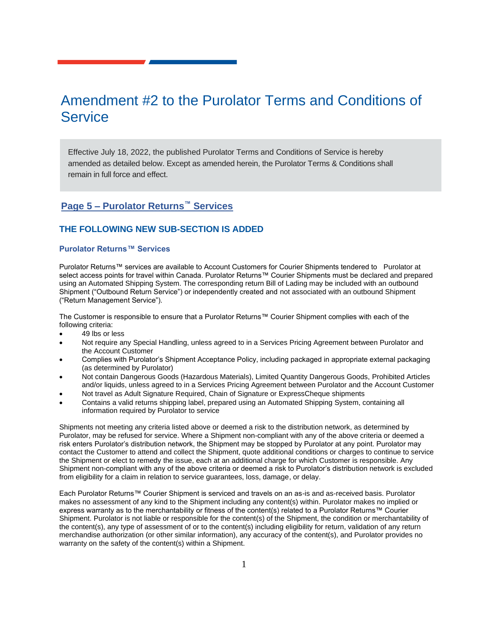# Amendment #2 to the Purolator Terms and Conditions of **Service**

Effective July 18, 2022, the published Purolator Terms and Conditions of Service is hereby amended as detailed below. Except as amended herein, the Purolator Terms & Conditions shall remain in full force and effect.

# **Page 5 – Purolator Returns™ Services**

#### **THE FOLLOWING NEW SUB-SECTION IS ADDED**

#### **Purolator Returns™ Services**

Purolator Returns™ services are available to Account Customers for Courier Shipments tendered to Purolator at select access points for travel within Canada. Purolator Returns™ Courier Shipments must be declared and prepared using an Automated Shipping System. The corresponding return Bill of Lading may be included with an outbound Shipment ("Outbound Return Service") or independently created and not associated with an outbound Shipment ("Return Management Service").

The Customer is responsible to ensure that a Purolator Returns™ Courier Shipment complies with each of the following criteria:

- 49 lbs or less
- Not require any Special Handling, unless agreed to in a Services Pricing Agreement between Purolator and the Account Customer
- Complies with Purolator's Shipment Acceptance Policy, including packaged in appropriate external packaging (as determined by Purolator)
- Not contain Dangerous Goods (Hazardous Materials), Limited Quantity Dangerous Goods, Prohibited Articles and/or liquids, unless agreed to in a Services Pricing Agreement between Purolator and the Account Customer
- Not travel as Adult Signature Required, Chain of Signature or ExpressCheque shipments
- Contains a valid returns shipping label, prepared using an Automated Shipping System, containing all information required by Purolator to service

Shipments not meeting any criteria listed above or deemed a risk to the distribution network, as determined by Purolator, may be refused for service. Where a Shipment non-compliant with any of the above criteria or deemed a risk enters Purolator's distribution network, the Shipment may be stopped by Purolator at any point. Purolator may contact the Customer to attend and collect the Shipment, quote additional conditions or charges to continue to service the Shipment or elect to remedy the issue, each at an additional charge for which Customer is responsible. Any Shipment non-compliant with any of the above criteria or deemed a risk to Purolator's distribution network is excluded from eligibility for a claim in relation to service guarantees, loss, damage, or delay.

Each Purolator Returns™ Courier Shipment is serviced and travels on an as-is and as-received basis. Purolator makes no assessment of any kind to the Shipment including any content(s) within. Purolator makes no implied or express warranty as to the merchantability or fitness of the content(s) related to a Purolator Returns™ Courier Shipment. Purolator is not liable or responsible for the content(s) of the Shipment, the condition or merchantability of the content(s), any type of assessment of or to the content(s) including eligibility for return, validation of any return merchandise authorization (or other similar information), any accuracy of the content(s), and Purolator provides no warranty on the safety of the content(s) within a Shipment.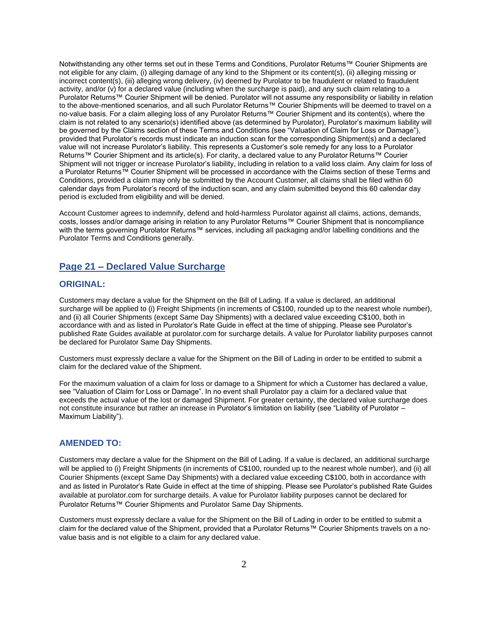Notwithstanding any other terms set out in these Terms and Conditions, Purolator Returns™ Courier Shipments are not eligible for any claim, (i) alleging damage of any kind to the Shipment or its content(s), (ii) alleging missing or incorrect content(s), (iii) alleging wrong delivery, (iv) deemed by Purolator to be fraudulent or related to fraudulent activity, and/or (v) for a declared value (including when the surcharge is paid), and any such claim relating to a Purolator Returns™ Courier Shipment will be denied. Purolator will not assume any responsibility or liability in relation to the above-mentioned scenarios, and all such Purolator Returns™ Courier Shipments will be deemed to travel on a no-value basis. For a claim alleging loss of any Purolator Returns™ Courier Shipment and its content(s), where the claim is not related to any scenario(s) identified above (as determined by Purolator), Purolator's maximum liability will be governed by the Claims section of these Terms and Conditions (see "Valuation of Claim for Loss or Damage"), provided that Purolator's records must indicate an induction scan for the corresponding Shipment(s) and a declared value will not increase Purolator's liability. This represents a Customer's sole remedy for any loss to a Purolator Returns™ Courier Shipment and its article(s). For clarity, a declared value to any Purolator Returns™ Courier Shipment will not trigger or increase Purolator's liability, including in relation to a valid loss claim. Any claim for loss of a Purolator Returns™ Courier Shipment will be processed in accordance with the Claims section of these Terms and Conditions, provided a claim may only be submitted by the Account Customer, all claims shall be filed within 60 calendar days from Purolator's record of the induction scan, and any claim submitted beyond this 60 calendar day period is excluded from eligibility and will be denied.

Account Customer agrees to indemnify, defend and hold-harmless Purolator against all claims, actions, demands, costs, losses and/or damage arising in relation to any Purolator Returns™ Courier Shipment that is noncompliance with the terms governing Purolator Returns™ services, including all packaging and/or labelling conditions and the Purolator Terms and Conditions generally.

### **Page 21 – Declared Value Surcharge**

#### **ORIGINAL:**

Customers may declare a value for the Shipment on the Bill of Lading. If a value is declared, an additional surcharge will be applied to (i) Freight Shipments (in increments of C\$100, rounded up to the nearest whole number), and (ii) all Courier Shipments (except Same Day Shipments) with a declared value exceeding C\$100, both in accordance with and as listed in Purolator's Rate Guide in effect at the time of shipping. Please see Purolator's published Rate Guides available at purolator.com for surcharge details. A value for Purolator liability purposes cannot be declared for Purolator Same Day Shipments.

Customers must expressly declare a value for the Shipment on the Bill of Lading in order to be entitled to submit a claim for the declared value of the Shipment.

For the maximum valuation of a claim for loss or damage to a Shipment for which a Customer has declared a value, see "Valuation of Claim for Loss or Damage". In no event shall Purolator pay a claim for a declared value that exceeds the actual value of the lost or damaged Shipment. For greater certainty, the declared value surcharge does not constitute insurance but rather an increase in Purolator's limitation on liability (see "Liability of Purolator – Maximum Liability").

#### **AMENDED TO:**

Customers may declare a value for the Shipment on the Bill of Lading. If a value is declared, an additional surcharge will be applied to (i) Freight Shipments (in increments of C\$100, rounded up to the nearest whole number), and (ii) all Courier Shipments (except Same Day Shipments) with a declared value exceeding C\$100, both in accordance with and as listed in Purolator's Rate Guide in effect at the time of shipping. Please see Purolator's published Rate Guides available at purolator.com for surcharge details. A value for Purolator liability purposes cannot be declared for Purolator Returns™ Courier Shipments and Purolator Same Day Shipments.

Customers must expressly declare a value for the Shipment on the Bill of Lading in order to be entitled to submit a claim for the declared value of the Shipment, provided that a Purolator Returns™ Courier Shipments travels on a novalue basis and is not eligible to a claim for any declared value.